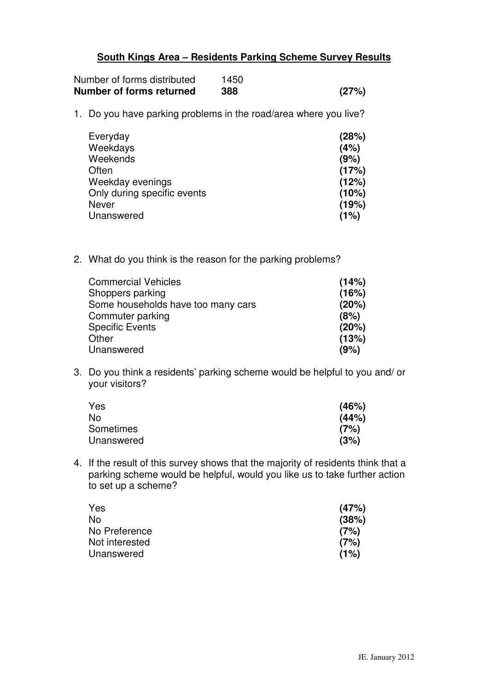## **South Kings Area – Residents Parking Scheme Survey Results**

| Number of forms distributed | 1450 |       |
|-----------------------------|------|-------|
| Number of forms returned    | 388  | (27%) |

1. Do you have parking problems in the road/area where you live?

| Everyday                    | (28%) |
|-----------------------------|-------|
| Weekdays                    | (4%)  |
| Weekends                    | (9%)  |
| Often                       | (17%) |
| Weekday evenings            | (12%) |
| Only during specific events | (10%) |
| Never                       | (19%) |
| Unanswered                  | (1%)  |

2. What do you think is the reason for the parking problems?

| <b>Commercial Vehicles</b>         | (14%) |
|------------------------------------|-------|
| Shoppers parking                   | (16%) |
| Some households have too many cars | (20%) |
| Commuter parking                   | (8%)  |
| <b>Specific Events</b>             | (20%) |
| Other                              | (13%) |
| Unanswered                         | (9%)  |
|                                    |       |

3. Do you think a residents' parking scheme would be helpful to you and/ or your visitors?

| Yes        | (46%) |
|------------|-------|
| No         | (44%) |
| Sometimes  | (7%)  |
| Unanswered | (3%)  |

4. If the result of this survey shows that the majority of residents think that a parking scheme would be helpful, would you like us to take further action to set up a scheme?

| Yes            | (47%) |
|----------------|-------|
| No             | (38%) |
| No Preference  | (7%)  |
| Not interested | (7%)  |
| Unanswered     | (1%)  |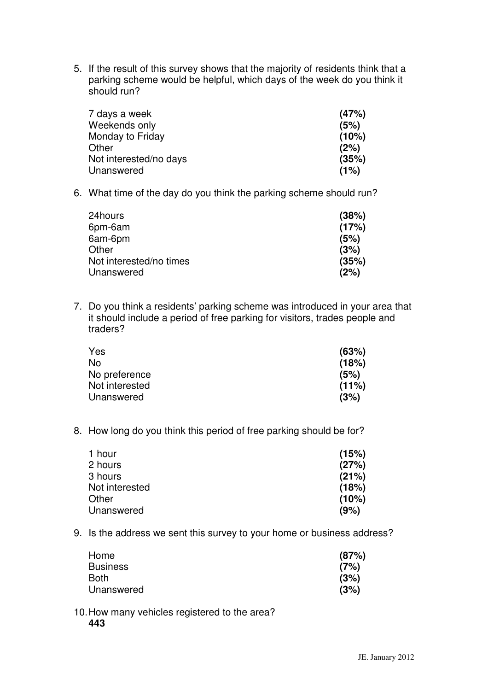5. If the result of this survey shows that the majority of residents think that a parking scheme would be helpful, which days of the week do you think it should run?

| 7 days a week          | (47%) |
|------------------------|-------|
| Weekends only          | (5%)  |
| Monday to Friday       | (10%) |
| Other                  | (2%)  |
| Not interested/no days | (35%) |
| Unanswered             | (1%)  |

6. What time of the day do you think the parking scheme should run?

| 24hours                 | (38%) |
|-------------------------|-------|
| 6pm-6am                 | (17%) |
| 6am-6pm                 | (5%)  |
| Other                   | (3%)  |
| Not interested/no times | (35%) |
| Unanswered              | (2%)  |

7. Do you think a residents' parking scheme was introduced in your area that it should include a period of free parking for visitors, trades people and traders?

| Yes            | (63%) |
|----------------|-------|
| No             | (18%) |
| No preference  | (5%)  |
| Not interested | (11%) |
| Unanswered     | (3%)  |

8. How long do you think this period of free parking should be for?

| (15%) |
|-------|
| (27%) |
| (21%) |
| (18%) |
| (10%) |
| (9%)  |
|       |

9. Is the address we sent this survey to your home or business address?

| Home            | (87%) |
|-----------------|-------|
| <b>Business</b> | (7%)  |
| Both            | (3%)  |
| Unanswered      | (3%)  |

10.How many vehicles registered to the area?